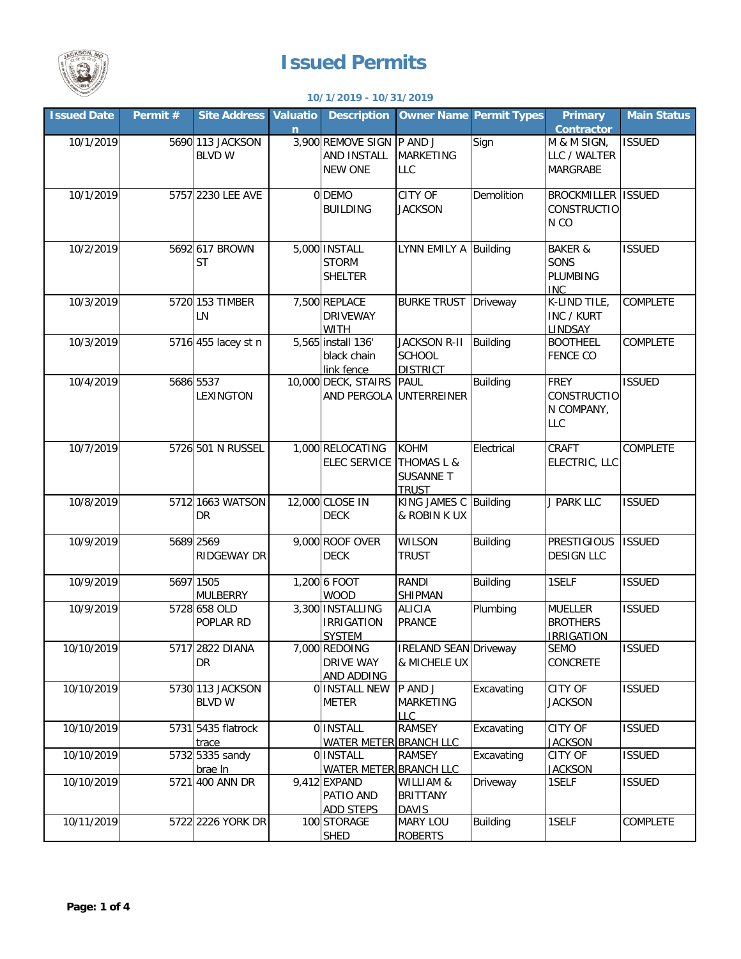

## **Issued Permits**

## **10/1/2019 - 10/31/2019**

| <b>Issued Date</b> | Permit # | <b>Site Address</b> | Valuatio | <b>Description</b>                 |                                  | <b>Owner Name Permit Types</b> | <b>Primary</b>             | <b>Main Status</b> |
|--------------------|----------|---------------------|----------|------------------------------------|----------------------------------|--------------------------------|----------------------------|--------------------|
|                    |          |                     | n        |                                    |                                  |                                | <b>Contractor</b>          |                    |
| 10/1/2019          |          | 5690 113 JACKSON    |          | 3,900 REMOVE SIGN                  | P AND J                          | Sign                           | M & M SIGN,                | <b>ISSUED</b>      |
|                    |          | <b>BLVD W</b>       |          | <b>AND INSTALL</b>                 | <b>MARKETING</b>                 |                                | LLC / WALTER               |                    |
|                    |          |                     |          | <b>NEW ONE</b>                     | LLC                              |                                | <b>MARGRABE</b>            |                    |
| 10/1/2019          |          | 5757 2230 LEE AVE   |          | 0 DEMO                             | <b>CITY OF</b>                   | Demolition                     | <b>BROCKMILLER ISSUED</b>  |                    |
|                    |          |                     |          | <b>BUILDING</b>                    | <b>JACKSON</b>                   |                                | CONSTRUCTIO                |                    |
|                    |          |                     |          |                                    |                                  |                                | N <sub>CO</sub>            |                    |
|                    |          |                     |          |                                    |                                  |                                |                            |                    |
| 10/2/2019          |          | 5692 617 BROWN      |          | 5,000 INSTALL                      | LYNN EMILY A Building            |                                | <b>BAKER &amp;</b>         | <b>ISSUED</b>      |
|                    |          | <b>ST</b>           |          | <b>STORM</b>                       |                                  |                                | SONS                       |                    |
|                    |          |                     |          | <b>SHELTER</b>                     |                                  |                                | <b>PLUMBING</b>            |                    |
|                    |          |                     |          |                                    |                                  |                                | <b>INC</b>                 |                    |
| 10/3/2019          |          | 5720 153 TIMBER     |          | 7,500 REPLACE                      | <b>BURKE TRUST Driveway</b>      |                                | K-LIND TILE,               | <b>COMPLETE</b>    |
|                    |          | <b>LN</b>           |          | <b>DRIVEWAY</b>                    |                                  |                                | INC / KURT                 |                    |
| 10/3/2019          |          |                     |          | <b>WITH</b>                        | <b>JACKSON R-II</b>              | Building                       | LINDSAY<br><b>BOOTHEEL</b> | <b>COMPLETE</b>    |
|                    |          | 5716 455 lacey st n |          | 5,565 install 136'                 |                                  |                                |                            |                    |
|                    |          |                     |          | black chain<br>link fence          | <b>SCHOOL</b><br><b>DISTRICT</b> |                                | <b>FENCE CO</b>            |                    |
| 10/4/2019          |          | 5686 5537           |          | 10,000 DECK, STAIRS                | <b>PAUL</b>                      | <b>Building</b>                | <b>FREY</b>                | <b>ISSUED</b>      |
|                    |          | LEXINGTON           |          | AND PERGOLA                        | <b>UNTERREINER</b>               |                                | <b>CONSTRUCTIO</b>         |                    |
|                    |          |                     |          |                                    |                                  |                                | N COMPANY,                 |                    |
|                    |          |                     |          |                                    |                                  |                                | LLC                        |                    |
|                    |          |                     |          |                                    |                                  |                                |                            |                    |
| 10/7/2019          |          | 5726 501 N RUSSEL   |          | 1,000 RELOCATING                   | <b>KOHM</b>                      | Electrical                     | CRAFT                      | <b>COMPLETE</b>    |
|                    |          |                     |          | <b>ELEC SERVICE</b>                | THOMAS L &                       |                                | ELECTRIC, LLC              |                    |
|                    |          |                     |          |                                    | <b>SUSANNE T</b>                 |                                |                            |                    |
|                    |          |                     |          |                                    | <b>TRUST</b>                     |                                |                            |                    |
| 10/8/2019          |          | 5712 1663 WATSON    |          | 12,000 CLOSE IN                    | KING JAMES C Building            |                                | J PARK LLC                 | <b>ISSUED</b>      |
|                    |          | DR                  |          | <b>DECK</b>                        | & ROBIN K UX                     |                                |                            |                    |
| 10/9/2019          |          | 5689 2569           |          | 9,000 ROOF OVER                    | <b>WILSON</b>                    | <b>Building</b>                | <b>PRESTIGIOUS</b>         | <b>ISSUED</b>      |
|                    |          | <b>RIDGEWAY DR</b>  |          | <b>DECK</b>                        | <b>TRUST</b>                     |                                | <b>DESIGN LLC</b>          |                    |
|                    |          |                     |          |                                    |                                  |                                |                            |                    |
| 10/9/2019          |          | 5697 1505           |          | 1,200 6 FOOT                       | <b>RANDI</b>                     | <b>Building</b>                | 1SELF                      | <b>ISSUED</b>      |
|                    |          | <b>MULBERRY</b>     |          | <b>WOOD</b>                        | <b>SHIPMAN</b>                   |                                |                            |                    |
| 10/9/2019          |          | 5728 658 OLD        |          | 3,300 INSTALLING                   | <b>ALICIA</b>                    | Plumbing                       | <b>MUELLER</b>             | <b>ISSUED</b>      |
|                    |          | POPLAR RD           |          | <b>IRRIGATION</b>                  | <b>PRANCE</b>                    |                                | <b>BROTHERS</b>            |                    |
|                    |          |                     |          | <b>SYSTEM</b>                      |                                  |                                | <b>IRRIGATION</b>          |                    |
| 10/10/2019         |          | 5717 2822 DIANA     |          | 7,000 REDOING                      | <b>IRELAND SEAN Driveway</b>     |                                | SEMO                       | <b>ISSUED</b>      |
|                    |          | DR                  |          | <b>DRIVE WAY</b>                   | & MICHELE UX                     |                                | CONCRETE                   |                    |
| 10/10/2019         |          | 5730 113 JACKSON    |          | AND ADDING<br><b>O INSTALL NEW</b> | P AND J                          | Excavating                     | CITY OF                    | <b>ISSUED</b>      |
|                    |          | <b>BLVD W</b>       |          | <b>METER</b>                       | <b>MARKETING</b>                 |                                | <b>JACKSON</b>             |                    |
|                    |          |                     |          |                                    | LLC.                             |                                |                            |                    |
| 10/10/2019         |          | 5731 5435 flatrock  |          | 0 INSTALL                          | <b>RAMSEY</b>                    | Excavating                     | CITY OF                    | <b>ISSUED</b>      |
|                    |          | trace               |          | WATER METER BRANCH LLC             |                                  |                                | <b>JACKSON</b>             |                    |
| 10/10/2019         |          | 5732 5335 sandy     |          | 0 INSTALL                          | <b>RAMSEY</b>                    | Excavating                     | CITY OF                    | <b>ISSUED</b>      |
|                    |          | brae In             |          | WATER METER BRANCH LLC             |                                  |                                | <b>JACKSON</b>             |                    |
| 10/10/2019         |          | 5721 400 ANN DR     |          | 9,412 EXPAND                       | WILLIAM &                        | Driveway                       | 1SELF                      | <b>ISSUED</b>      |
|                    |          |                     |          | PATIO AND                          | <b>BRITTANY</b>                  |                                |                            |                    |
|                    |          |                     |          | <b>ADD STEPS</b>                   | <b>DAVIS</b>                     |                                |                            |                    |
| 10/11/2019         |          | 5722 2226 YORK DR   |          | 100 STORAGE                        | <b>MARY LOU</b>                  | <b>Building</b>                | 1SELF                      | COMPLETE           |
|                    |          |                     |          | <b>SHED</b>                        | <b>ROBERTS</b>                   |                                |                            |                    |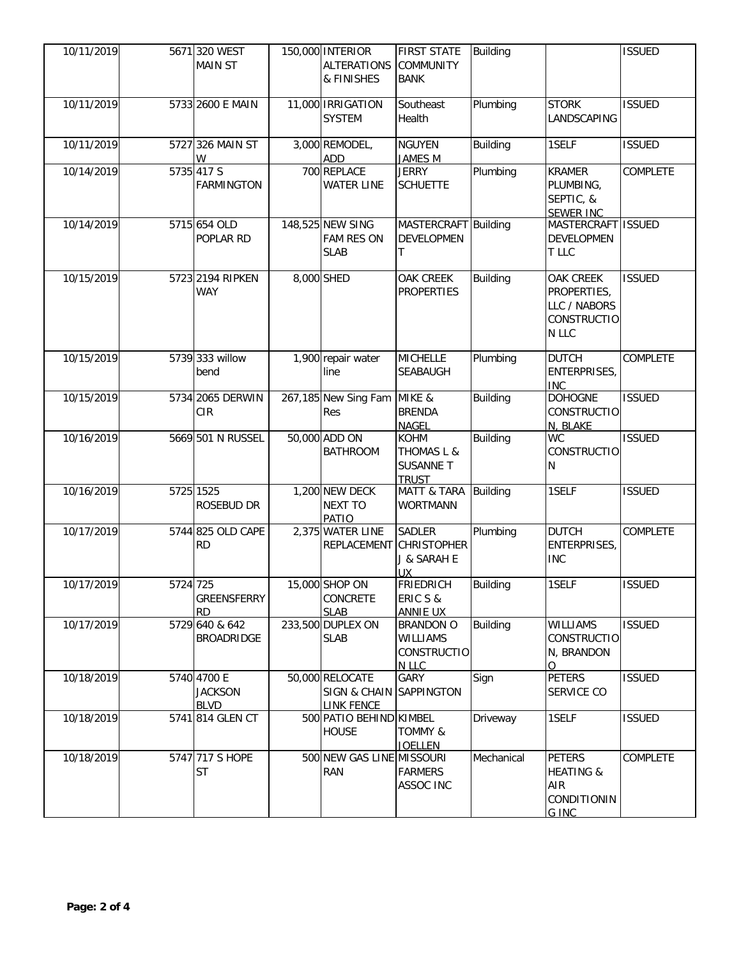| 10/11/2019 |          | 5671 320 WEST<br><b>MAIN ST</b>              | 150,000 INTERIOR<br><b>ALTERATIONS</b><br>& FINISHES            | <b>FIRST STATE</b><br><b>COMMUNITY</b><br><b>BANK</b>                    | Building        |                                                                         | <b>ISSUED</b>   |
|------------|----------|----------------------------------------------|-----------------------------------------------------------------|--------------------------------------------------------------------------|-----------------|-------------------------------------------------------------------------|-----------------|
| 10/11/2019 |          | 5733 2600 E MAIN                             | 11,000 IRRIGATION<br><b>SYSTEM</b>                              | Southeast<br>Health                                                      | Plumbing        | <b>STORK</b><br>LANDSCAPING                                             | <b>ISSUED</b>   |
| 10/11/2019 |          | 5727 326 MAIN ST<br>W                        | 3,000 REMODEL,<br>ADD                                           | <b>NGUYEN</b><br>JAMES M                                                 | <b>Building</b> | 1SELF                                                                   | <b>ISSUED</b>   |
| 10/14/2019 |          | 5735 417 S<br><b>FARMINGTON</b>              | 700 REPLACE<br><b>WATER LINE</b>                                | <b>JERRY</b><br><b>SCHUETTE</b>                                          | Plumbing        | <b>KRAMER</b><br>PLUMBING,<br>SEPTIC, &<br><b>SEWER INC</b>             | COMPLETE        |
| 10/14/2019 |          | 5715 654 OLD<br>POPLAR RD                    | 148,525 NEW SING<br><b>FAM RES ON</b><br><b>SLAB</b>            | MASTERCRAFT Building<br><b>DEVELOPMEN</b><br>Τ                           |                 | MASTERCRAFT ISSUED<br>DEVELOPMEN<br>T LLC                               |                 |
| 10/15/2019 |          | 5723 2194 RIPKEN<br><b>WAY</b>               | 8,000 SHED                                                      | OAK CREEK<br><b>PROPERTIES</b>                                           | <b>Building</b> | OAK CREEK<br>PROPERTIES,<br>LLC / NABORS<br><b>CONSTRUCTIO</b><br>N LLC | <b>ISSUED</b>   |
| 10/15/2019 |          | 5739 333 willow<br>bend                      | 1,900 repair water<br>line                                      | <b>MICHELLE</b><br><b>SEABAUGH</b>                                       | Plumbing        | <b>DUTCH</b><br>ENTERPRISES,<br><b>INC</b>                              | <b>COMPLETE</b> |
| 10/15/2019 |          | 5734 2065 DERWIN<br>CIR                      | 267,185 New Sing Fam<br>Res                                     | MIKE &<br><b>BRENDA</b><br><b>NAGEL</b>                                  | <b>Building</b> | <b>DOHOGNE</b><br><b>CONSTRUCTIO</b><br>N, BLAKE                        | <b>ISSUED</b>   |
| 10/16/2019 |          | 5669 501 N RUSSEL                            | 50,000 ADD ON<br><b>BATHROOM</b>                                | <b>KOHM</b><br><b>THOMAS L &amp;</b><br><b>SUSANNE T</b><br><b>TRUST</b> | <b>Building</b> | <b>WC</b><br><b>CONSTRUCTIO</b><br>N                                    | <b>ISSUED</b>   |
| 10/16/2019 |          | 5725 1525<br>ROSEBUD DR                      | 1,200 NEW DECK<br><b>NEXT TO</b><br>PATIO                       | MATT & TARA Building<br><b>WORTMANN</b>                                  |                 | 1SELF                                                                   | <b>ISSUED</b>   |
| 10/17/2019 |          | 5744 825 OLD CAPE<br><b>RD</b>               | 2,375 WATER LINE                                                | <b>SADLER</b><br>REPLACEMENT CHRISTOPHER<br>J & SARAH E<br>UX.           | Plumbing        | <b>DUTCH</b><br>ENTERPRISES,<br><b>INC</b>                              | <b>COMPLETE</b> |
| 10/17/2019 | 5724 725 | <b>GREENSFERRY</b><br><b>RD</b>              | 15,000 SHOP ON<br>CONCRETE<br><b>SLAB</b>                       | FRIEDRICH Building<br>ERIC S &<br><b>ANNIE UX</b>                        |                 | 1SELF                                                                   | <b>ISSUED</b>   |
| 10/17/2019 |          | 5729 640 & 642<br><b>BROADRIDGE</b>          | 233,500 DUPLEX ON<br><b>SLAB</b>                                | <b>BRANDON O</b><br><b>WILLIAMS</b><br><b>CONSTRUCTIO</b><br>N LLC       | <b>Building</b> | <b>WILLIAMS</b><br>CONSTRUCTIO<br>N, BRANDON<br>$\Omega$                | <b>ISSUED</b>   |
| 10/18/2019 |          | 5740 4700 E<br><b>JACKSON</b><br><b>BLVD</b> | 50,000 RELOCATE<br>SIGN & CHAIN SAPPINGTON<br><b>LINK FENCE</b> | <b>GARY</b>                                                              | Sign            | <b>PETERS</b><br>SERVICE CO                                             | <b>ISSUED</b>   |
| 10/18/2019 |          | 5741 814 GLEN CT                             | 500 PATIO BEHIND KIMBEL<br><b>HOUSE</b>                         | <b>TOMMY &amp;</b><br><b>JOELLEN</b>                                     | Driveway        | 1SELF                                                                   | <b>ISSUED</b>   |
| 10/18/2019 |          | 5747 717 S HOPE<br><b>ST</b>                 | 500 NEW GAS LINE MISSOURI<br><b>RAN</b>                         | <b>FARMERS</b><br>ASSOC INC                                              | Mechanical      | <b>PETERS</b><br><b>HEATING &amp;</b><br>AIR<br>CONDITIONIN<br>G INC    | COMPLETE        |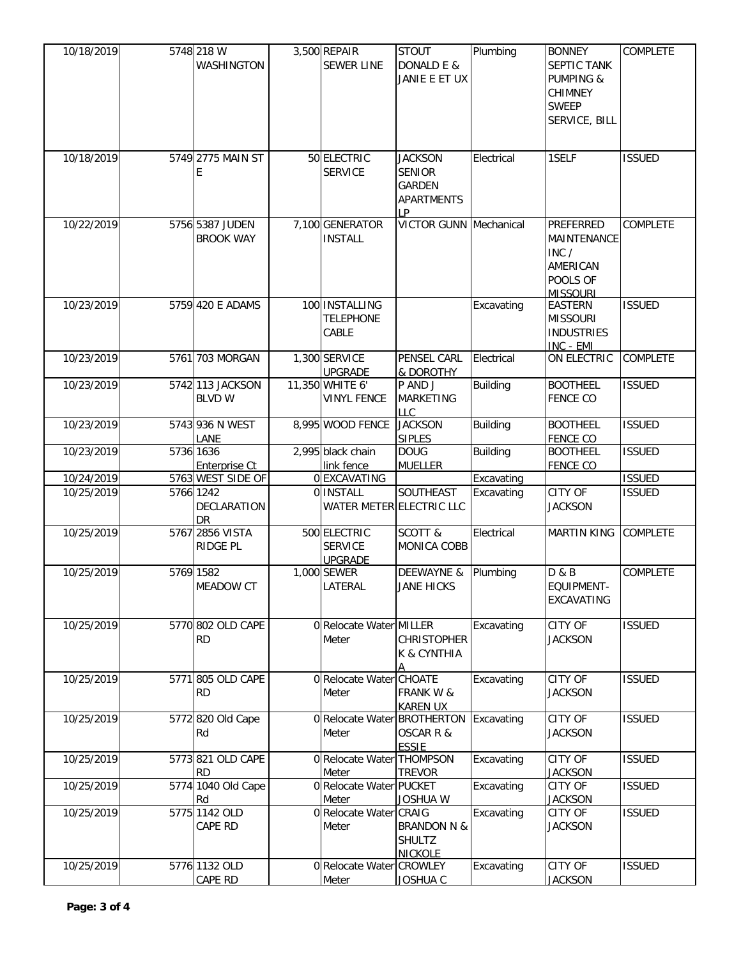| 10/18/2019 | 5748 218 W<br>WASHINGTON            | 3,500 REPAIR<br><b>SEWER LINE</b>                | <b>STOUT</b><br>DONALD E &<br>JANIE E ET UX                                 | Plumbing        | <b>BONNEY</b><br><b>SEPTIC TANK</b><br><b>PUMPING &amp;</b><br><b>CHIMNEY</b><br><b>SWEEP</b><br>SERVICE, BILL | <b>COMPLETE</b> |
|------------|-------------------------------------|--------------------------------------------------|-----------------------------------------------------------------------------|-----------------|----------------------------------------------------------------------------------------------------------------|-----------------|
| 10/18/2019 | 5749 2775 MAIN ST<br>Е              | 50 ELECTRIC<br><b>SERVICE</b>                    | <b>JACKSON</b><br><b>SENIOR</b><br><b>GARDEN</b><br><b>APARTMENTS</b><br>IP | Electrical      | 1SELF                                                                                                          | <b>ISSUED</b>   |
| 10/22/2019 | 5756 5387 JUDEN<br><b>BROOK WAY</b> | 7,100 GENERATOR<br><b>INSTALL</b>                | <b>VICTOR GUNN Mechanical</b>                                               |                 | PREFERRED<br>MAINTENANCE<br>INC /<br>AMERICAN<br>POOLS OF<br><b>MISSOURI</b>                                   | COMPLETE        |
| 10/23/2019 | 5759 420 E ADAMS                    | 100 INSTALLING<br><b>TELEPHONE</b><br>CABLE      |                                                                             | Excavating      | <b>EASTERN</b><br><b>MISSOURI</b><br><b>INDUSTRIES</b><br>INC - EMI                                            | <b>ISSUED</b>   |
| 10/23/2019 | 5761 703 MORGAN                     | 1,300 SERVICE<br><b>UPGRADE</b>                  | PENSEL CARL<br>& DOROTHY                                                    | Electrical      | ON ELECTRIC                                                                                                    | COMPLETE        |
| 10/23/2019 | 5742 113 JACKSON<br><b>BLVD W</b>   | 11,350 WHITE 6'<br><b>VINYL FENCE</b>            | P AND J<br><b>MARKETING</b><br><b>LLC</b>                                   | Building        | <b>BOOTHEEL</b><br><b>FENCE CO</b>                                                                             | <b>ISSUED</b>   |
| 10/23/2019 | 5743 936 N WEST<br>LANE             | 8,995 WOOD FENCE                                 | <b>JACKSON</b><br><b>SIPLES</b>                                             | <b>Building</b> | <b>BOOTHEEL</b><br>FENCE CO                                                                                    | <b>ISSUED</b>   |
| 10/23/2019 | 5736 1636<br>Enterprise Ct          | 2,995 black chain<br>link fence                  | <b>DOUG</b><br><b>MUELLER</b>                                               | <b>Building</b> | <b>BOOTHEEL</b><br><b>FENCE CO</b>                                                                             | <b>ISSUED</b>   |
| 10/24/2019 | 5763 WEST SIDE OF                   | 0 EXCAVATING                                     |                                                                             | Excavating      |                                                                                                                | <b>ISSUED</b>   |
| 10/25/2019 | 5766 1242<br>DECLARATION<br>DR      | 0 INSTALL<br>WATER METER ELECTRIC LLC            | SOUTHEAST                                                                   | Excavating      | CITY OF<br><b>JACKSON</b>                                                                                      | <b>ISSUED</b>   |
| 10/25/2019 | 5767 2856 VISTA<br>RIDGE PL         | 500 ELECTRIC<br><b>SERVICE</b><br><b>UPGRADE</b> | SCOTT &<br>MONICA COBB                                                      | Electrical      | <b>MARTIN KING</b>                                                                                             | COMPLETE        |
| 10/25/2019 | 5769 1582<br>MEADOW CT              | 1,000 SEWER<br>LATERAL                           | DEEWAYNE &<br><b>JANE HICKS</b>                                             | Plumbing        | D & B<br>EQUIPMENT-<br>EXCAVATING                                                                              | COMPLETE        |
| 10/25/2019 | 5770 802 OLD CAPE<br><b>RD</b>      | 0 Relocate Water MILLER<br>Meter                 | <b>CHRISTOPHER</b><br>K & CYNTHIA                                           | Excavating      | CITY OF<br><b>JACKSON</b>                                                                                      | <b>ISSUED</b>   |
| 10/25/2019 | 5771 805 OLD CAPE<br><b>RD</b>      | 0 Relocate Water CHOATE<br>Meter                 | <b>FRANK W &amp;</b><br><b>KAREN UX</b>                                     | Excavating      | CITY OF<br><b>JACKSON</b>                                                                                      | <b>ISSUED</b>   |
| 10/25/2019 | 5772 820 Old Cape<br>Rd             | 0 Relocate Water BROTHERTON<br>Meter             | <b>OSCAR R &amp;</b><br><b>ESSIE</b>                                        | Excavating      | CITY OF<br><b>JACKSON</b>                                                                                      | <b>ISSUED</b>   |
| 10/25/2019 | 5773 821 OLD CAPE<br><b>RD</b>      | 0 Relocate Water THOMPSON<br>Meter               | <b>TREVOR</b>                                                               | Excavating      | CITY OF<br><b>JACKSON</b>                                                                                      | <b>ISSUED</b>   |
| 10/25/2019 | 5774 1040 Old Cape<br>Rd            | 0 Relocate Water PUCKET<br>Meter                 | JOSHUA W                                                                    | Excavating      | CITY OF<br><b>JACKSON</b>                                                                                      | <b>ISSUED</b>   |
| 10/25/2019 | 5775 1142 OLD<br>CAPE RD            | 0 Relocate Water CRAIG<br>Meter                  | <b>BRANDON N &amp;</b><br><b>SHULTZ</b><br><b>NICKOLE</b>                   | Excavating      | CITY OF<br><b>JACKSON</b>                                                                                      | <b>ISSUED</b>   |
| 10/25/2019 | 5776 1132 OLD<br>CAPE RD            | 0 Relocate Water CROWLEY<br>Meter                | <b>JOSHUA C</b>                                                             | Excavating      | CITY OF<br><b>JACKSON</b>                                                                                      | <b>ISSUED</b>   |